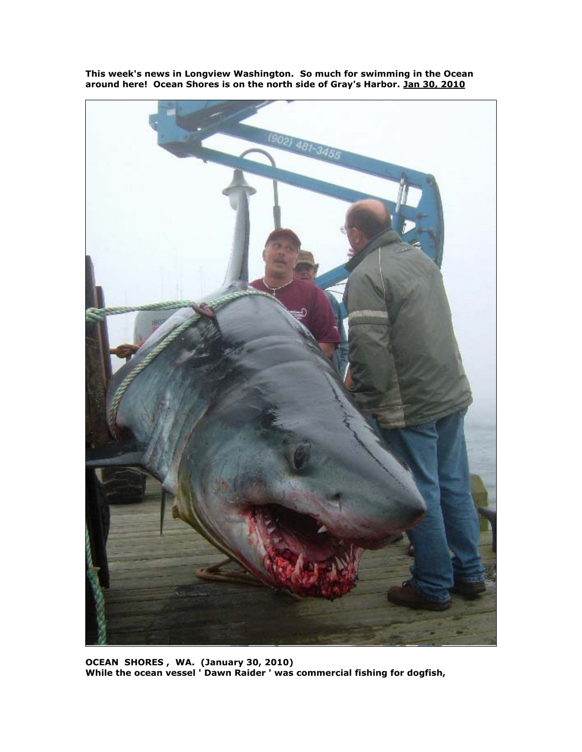

**This week's news in Longview Washington. So much for swimming in the Ocean around here! Ocean Shores is on the north side of Gray's Harbor. Jan 30, 2010**

**OCEAN SHORES , WA. (January 30, 2010) While the ocean vessel ' Dawn Raider ' was commercial fishing for dogfish,**